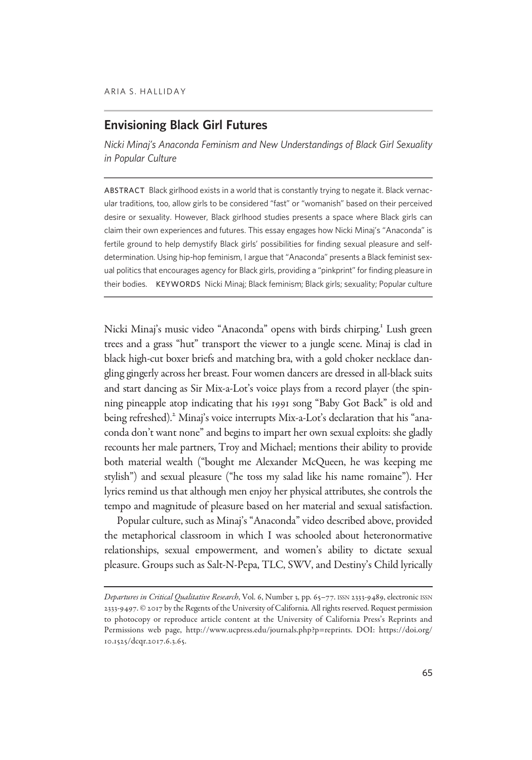Envisioning Black Girl Futures Nicki Minaj's Anaconda Feminism and New Understandings of Black Girl Sexuality in Popular Culture

ABSTRACT Black girlhood exists in a world that is constantly trying to negate it. Black vernacular traditions, too, allow girls to be considered "fast" or "womanish" based on their perceived desire or sexuality. However, Black girlhood studies presents a space where Black girls can claim their own experiences and futures. This essay engages how Nicki Minaj's "Anaconda" is fertile ground to help demystify Black girls' possibilities for finding sexual pleasure and selfdetermination. Using hip-hop feminism, I argue that "Anaconda" presents a Black feminist sexual politics that encourages agency for Black girls, providing a "pinkprint" for finding pleasure in their bodies. KEYWORDS Nicki Minaj; Black feminism; Black girls; sexuality; Popular culture

Nicki Minaj's music video "Anaconda" opens with birds chirping.<sup>"</sup> Lush green trees and a grass "hut" transport the viewer to a jungle scene. Minaj is clad in black high-cut boxer briefs and matching bra, with a gold choker necklace dangling gingerly across her breast. Four women dancers are dressed in all-black suits and start dancing as Sir Mix-a-Lot's voice plays from a record player (the spinning pineapple atop indicating that his 1991 song "Baby Got Back" is old and being refreshed).<sup>2</sup> Minaj's voice interrupts Mix-a-Lot's declaration that his "anaconda don't want none" and begins to impart her own sexual exploits: she gladly recounts her male partners, Troy and Michael; mentions their ability to provide both material wealth ("bought me Alexander McQueen, he was keeping me stylish") and sexual pleasure ("he toss my salad like his name romaine"). Her lyrics remind us that although men enjoy her physical attributes, she controls the tempo and magnitude of pleasure based on her material and sexual satisfaction.

Popular culture, such as Minaj's "Anaconda" video described above, provided the metaphorical classroom in which I was schooled about heteronormative relationships, sexual empowerment, and women's ability to dictate sexual pleasure. Groups such as Salt-N-Pepa, TLC, SWV, and Destiny's Child lyrically

Departures in Critical Qualitative Research, Vol. 6, Number 3, pp. 65-77. ISSN 2333-9489, electronic ISSN 2333-9497. © 2017 by the Regents of the University of California. All rights reserved. Request permission to photocopy or reproduce article content at the University of California Press's Reprints and Permissions web page, http://www.ucpress.edu/journals.php?p=reprints. DOI: https://doi.org/ 10.1525/dcqr.2017.6.3.65.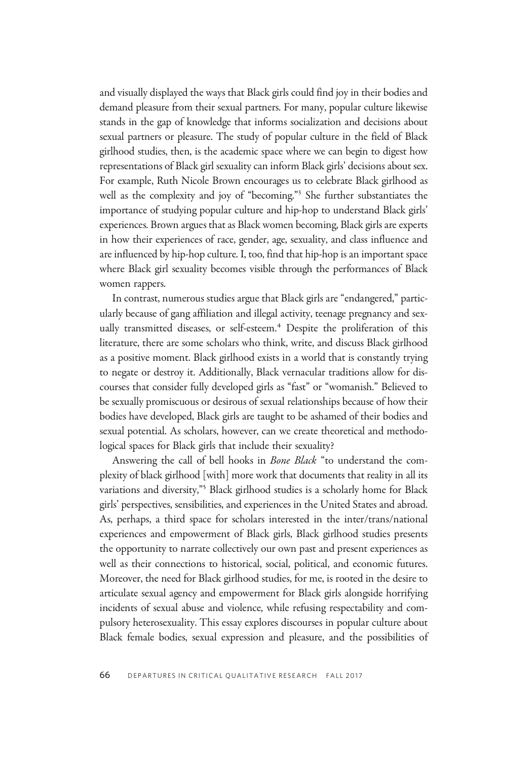and visually displayed the ways that Black girls could find joy in their bodies and demand pleasure from their sexual partners. For many, popular culture likewise stands in the gap of knowledge that informs socialization and decisions about sexual partners or pleasure. The study of popular culture in the field of Black girlhood studies, then, is the academic space where we can begin to digest how representations of Black girl sexuality can inform Black girls' decisions about sex. For example, Ruth Nicole Brown encourages us to celebrate Black girlhood as well as the complexity and joy of "becoming." She further substantiates the importance of studying popular culture and hip-hop to understand Black girls' experiences. Brown argues that as Black women becoming, Black girls are experts in how their experiences of race, gender, age, sexuality, and class influence and are influenced by hip-hop culture. I, too, find that hip-hop is an important space where Black girl sexuality becomes visible through the performances of Black women rappers.

In contrast, numerous studies argue that Black girls are "endangered," particularly because of gang affiliation and illegal activity, teenage pregnancy and sexually transmitted diseases, or self-esteem.<sup>4</sup> Despite the proliferation of this literature, there are some scholars who think, write, and discuss Black girlhood as a positive moment. Black girlhood exists in a world that is constantly trying to negate or destroy it. Additionally, Black vernacular traditions allow for discourses that consider fully developed girls as "fast" or "womanish." Believed to be sexually promiscuous or desirous of sexual relationships because of how their bodies have developed, Black girls are taught to be ashamed of their bodies and sexual potential. As scholars, however, can we create theoretical and methodological spaces for Black girls that include their sexuality?

Answering the call of bell hooks in *Bone Black* "to understand the complexity of black girlhood [with] more work that documents that reality in all its variations and diversity," Black girlhood studies is a scholarly home for Black girls' perspectives, sensibilities, and experiences in the United States and abroad. As, perhaps, a third space for scholars interested in the inter/trans/national experiences and empowerment of Black girls, Black girlhood studies presents the opportunity to narrate collectively our own past and present experiences as well as their connections to historical, social, political, and economic futures. Moreover, the need for Black girlhood studies, for me, is rooted in the desire to articulate sexual agency and empowerment for Black girls alongside horrifying incidents of sexual abuse and violence, while refusing respectability and compulsory heterosexuality. This essay explores discourses in popular culture about Black female bodies, sexual expression and pleasure, and the possibilities of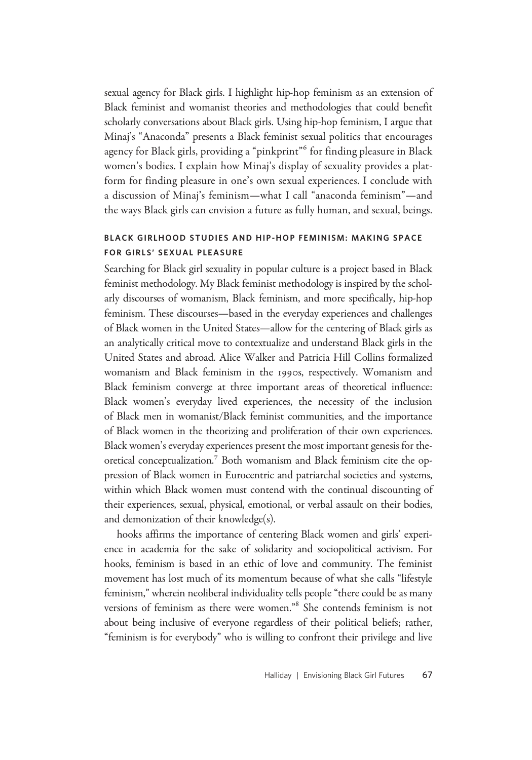sexual agency for Black girls. I highlight hip-hop feminism as an extension of Black feminist and womanist theories and methodologies that could benefit scholarly conversations about Black girls. Using hip-hop feminism, I argue that Minaj's "Anaconda" presents a Black feminist sexual politics that encourages agency for Black girls, providing a "pinkprint"<sup>6</sup> for finding pleasure in Black women's bodies. I explain how Minaj's display of sexuality provides a platform for finding pleasure in one's own sexual experiences. I conclude with a discussion of Minaj's feminism—what I call "anaconda feminism"—and the ways Black girls can envision a future as fully human, and sexual, beings.

## BLACK GIRLHOOD STUDIES AND HIP-HOP FEMINISM: MAKING SPACE FOR GIRLS' SEXUAL PLEASURE

Searching for Black girl sexuality in popular culture is a project based in Black feminist methodology. My Black feminist methodology is inspired by the scholarly discourses of womanism, Black feminism, and more specifically, hip-hop feminism. These discourses—based in the everyday experiences and challenges of Black women in the United States—allow for the centering of Black girls as an analytically critical move to contextualize and understand Black girls in the United States and abroad. Alice Walker and Patricia Hill Collins formalized womanism and Black feminism in the 1990s, respectively. Womanism and Black feminism converge at three important areas of theoretical influence: Black women's everyday lived experiences, the necessity of the inclusion of Black men in womanist/Black feminist communities, and the importance of Black women in the theorizing and proliferation of their own experiences. Black women's everyday experiences present the most important genesis for theoretical conceptualization.<sup>7</sup> Both womanism and Black feminism cite the oppression of Black women in Eurocentric and patriarchal societies and systems, within which Black women must contend with the continual discounting of their experiences, sexual, physical, emotional, or verbal assault on their bodies, and demonization of their knowledge(s).

hooks affirms the importance of centering Black women and girls' experience in academia for the sake of solidarity and sociopolitical activism. For hooks, feminism is based in an ethic of love and community. The feminist movement has lost much of its momentum because of what she calls "lifestyle feminism," wherein neoliberal individuality tells people "there could be as many versions of feminism as there were women." She contends feminism is not about being inclusive of everyone regardless of their political beliefs; rather, "feminism is for everybody" who is willing to confront their privilege and live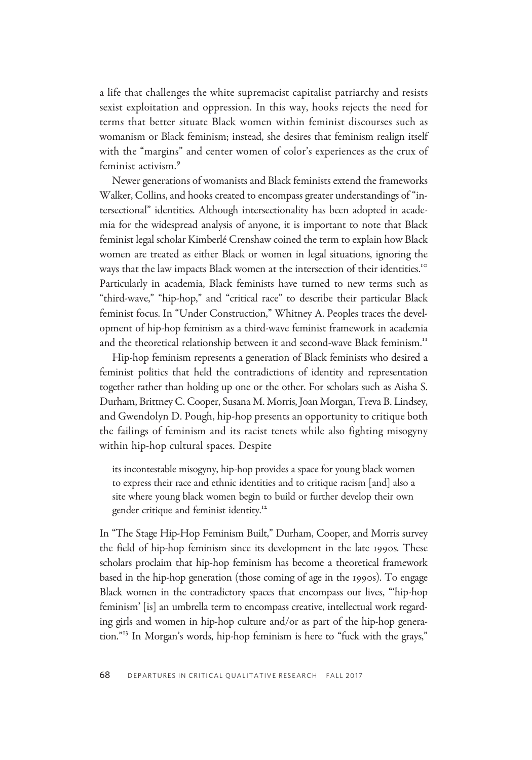a life that challenges the white supremacist capitalist patriarchy and resists sexist exploitation and oppression. In this way, hooks rejects the need for terms that better situate Black women within feminist discourses such as womanism or Black feminism; instead, she desires that feminism realign itself with the "margins" and center women of color's experiences as the crux of feminist activism.

Newer generations of womanists and Black feminists extend the frameworks Walker, Collins, and hooks created to encompass greater understandings of "intersectional" identities. Although intersectionality has been adopted in academia for the widespread analysis of anyone, it is important to note that Black feminist legal scholar Kimberlé Crenshaw coined the term to explain how Black women are treated as either Black or women in legal situations, ignoring the ways that the law impacts Black women at the intersection of their identities.<sup>10</sup> Particularly in academia, Black feminists have turned to new terms such as "third-wave," "hip-hop," and "critical race" to describe their particular Black feminist focus. In "Under Construction," Whitney A. Peoples traces the development of hip-hop feminism as a third-wave feminist framework in academia and the theoretical relationship between it and second-wave Black feminism.<sup>11</sup>

Hip-hop feminism represents a generation of Black feminists who desired a feminist politics that held the contradictions of identity and representation together rather than holding up one or the other. For scholars such as Aisha S. Durham, Brittney C. Cooper, Susana M. Morris, Joan Morgan, Treva B. Lindsey, and Gwendolyn D. Pough, hip-hop presents an opportunity to critique both the failings of feminism and its racist tenets while also fighting misogyny within hip-hop cultural spaces. Despite

its incontestable misogyny, hip-hop provides a space for young black women to express their race and ethnic identities and to critique racism [and] also a site where young black women begin to build or further develop their own gender critique and feminist identity.

In "The Stage Hip-Hop Feminism Built," Durham, Cooper, and Morris survey the field of hip-hop feminism since its development in the late 1990s. These scholars proclaim that hip-hop feminism has become a theoretical framework based in the hip-hop generation (those coming of age in the 1990s). To engage Black women in the contradictory spaces that encompass our lives, "'hip-hop feminism' [is] an umbrella term to encompass creative, intellectual work regarding girls and women in hip-hop culture and/or as part of the hip-hop generation." In Morgan's words, hip-hop feminism is here to "fuck with the grays,"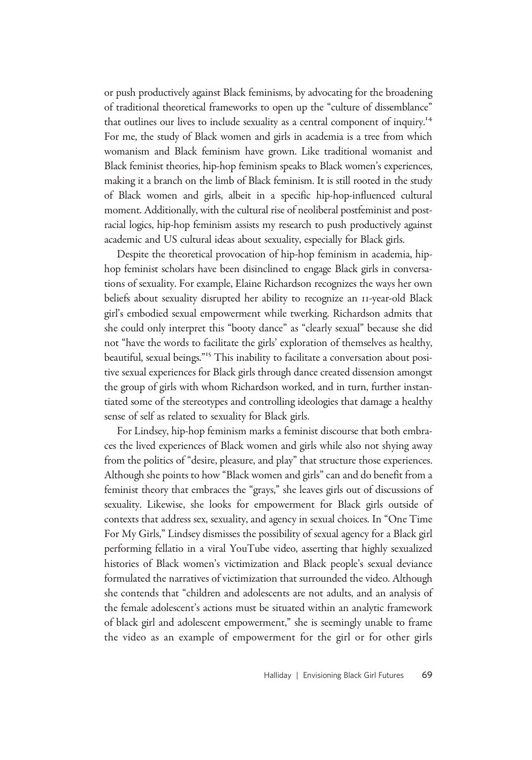or push productively against Black feminisms, by advocating for the broadening of traditional theoretical frameworks to open up the "culture of dissemblance" that outlines our lives to include sexuality as a central component of inquiry.<sup>14</sup> For me, the study of Black women and girls in academia is a tree from which womanism and Black feminism have grown. Like traditional womanist and Black feminist theories, hip-hop feminism speaks to Black women's experiences, making it a branch on the limb of Black feminism. It is still rooted in the study of Black women and girls, albeit in a specific hip-hop-influenced cultural moment. Additionally, with the cultural rise of neoliberal postfeminist and postracial logics, hip-hop feminism assists my research to push productively against academic and US cultural ideas about sexuality, especially for Black girls.

Despite the theoretical provocation of hip-hop feminism in academia, hiphop feminist scholars have been disinclined to engage Black girls in conversations of sexuality. For example, Elaine Richardson recognizes the ways her own beliefs about sexuality disrupted her ability to recognize an II-year-old Black girl's embodied sexual empowerment while twerking. Richardson admits that she could only interpret this "booty dance" as "clearly sexual" because she did not "have the words to facilitate the girls' exploration of themselves as healthy, beautiful, sexual beings." This inability to facilitate a conversation about positive sexual experiences for Black girls through dance created dissension amongst the group of girls with whom Richardson worked, and in turn, further instantiated some of the stereotypes and controlling ideologies that damage a healthy sense of self as related to sexuality for Black girls.

For Lindsey, hip-hop feminism marks a feminist discourse that both embraces the lived experiences of Black women and girls while also not shying away from the politics of "desire, pleasure, and play" that structure those experiences. Although she points to how "Black women and girls" can and do benefit from a feminist theory that embraces the "grays," she leaves girls out of discussions of sexuality. Likewise, she looks for empowerment for Black girls outside of contexts that address sex, sexuality, and agency in sexual choices. In "One Time For My Girls," Lindsey dismisses the possibility of sexual agency for a Black girl performing fellatio in a viral YouTube video, asserting that highly sexualized histories of Black women's victimization and Black people's sexual deviance formulated the narratives of victimization that surrounded the video. Although she contends that "children and adolescents are not adults, and an analysis of the female adolescent's actions must be situated within an analytic framework of black girl and adolescent empowerment," she is seemingly unable to frame the video as an example of empowerment for the girl or for other girls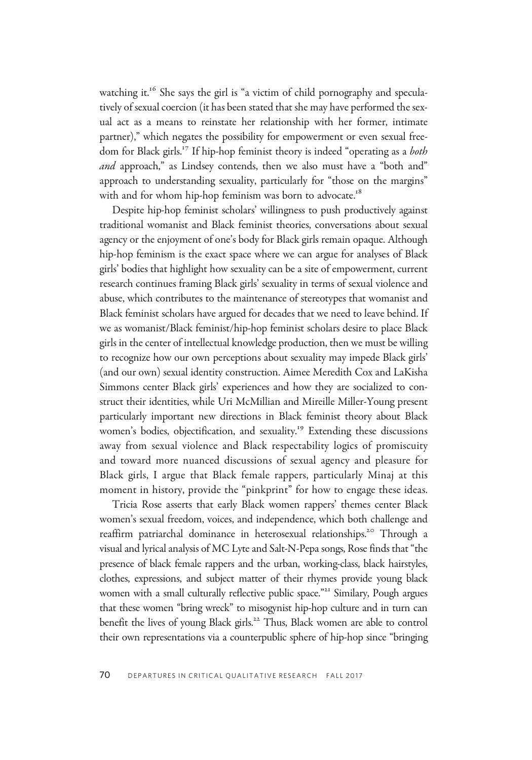watching it.<sup>16</sup> She says the girl is "a victim of child pornography and speculatively of sexual coercion (it has been stated that she may have performed the sexual act as a means to reinstate her relationship with her former, intimate partner)," which negates the possibility for empowerment or even sexual freedom for Black girls.<sup>17</sup> If hip-hop feminist theory is indeed "operating as a both and approach," as Lindsey contends, then we also must have a "both and" approach to understanding sexuality, particularly for "those on the margins" with and for whom hip-hop feminism was born to advocate.<sup>18</sup>

Despite hip-hop feminist scholars' willingness to push productively against traditional womanist and Black feminist theories, conversations about sexual agency or the enjoyment of one's body for Black girls remain opaque. Although hip-hop feminism is the exact space where we can argue for analyses of Black girls' bodies that highlight how sexuality can be a site of empowerment, current research continues framing Black girls' sexuality in terms of sexual violence and abuse, which contributes to the maintenance of stereotypes that womanist and Black feminist scholars have argued for decades that we need to leave behind. If we as womanist/Black feminist/hip-hop feminist scholars desire to place Black girls in the center of intellectual knowledge production, then we must be willing to recognize how our own perceptions about sexuality may impede Black girls' (and our own) sexual identity construction. Aimee Meredith Cox and LaKisha Simmons center Black girls' experiences and how they are socialized to construct their identities, while Uri McMillian and Mireille Miller-Young present particularly important new directions in Black feminist theory about Black women's bodies, objectification, and sexuality.<sup>19</sup> Extending these discussions away from sexual violence and Black respectability logics of promiscuity and toward more nuanced discussions of sexual agency and pleasure for Black girls, I argue that Black female rappers, particularly Minaj at this moment in history, provide the "pinkprint" for how to engage these ideas.

Tricia Rose asserts that early Black women rappers' themes center Black women's sexual freedom, voices, and independence, which both challenge and reaffirm patriarchal dominance in heterosexual relationships.<sup>20</sup> Through a visual and lyrical analysis of MC Lyte and Salt-N-Pepa songs, Rose finds that "the presence of black female rappers and the urban, working-class, black hairstyles, clothes, expressions, and subject matter of their rhymes provide young black women with a small culturally reflective public space."<sup>21</sup> Similary, Pough argues that these women "bring wreck" to misogynist hip-hop culture and in turn can benefit the lives of young Black girls.<sup>22</sup> Thus, Black women are able to control their own representations via a counterpublic sphere of hip-hop since "bringing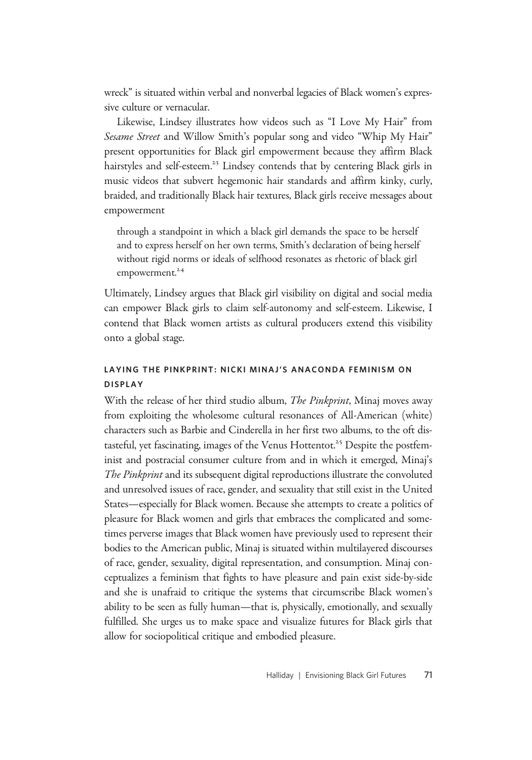wreck" is situated within verbal and nonverbal legacies of Black women's expressive culture or vernacular.

Likewise, Lindsey illustrates how videos such as "I Love My Hair" from Sesame Street and Willow Smith's popular song and video "Whip My Hair" present opportunities for Black girl empowerment because they affirm Black hairstyles and self-esteem.<sup>23</sup> Lindsey contends that by centering Black girls in music videos that subvert hegemonic hair standards and affirm kinky, curly, braided, and traditionally Black hair textures, Black girls receive messages about empowerment

through a standpoint in which a black girl demands the space to be herself and to express herself on her own terms, Smith's declaration of being herself without rigid norms or ideals of selfhood resonates as rhetoric of black girl empowerment.

Ultimately, Lindsey argues that Black girl visibility on digital and social media can empower Black girls to claim self-autonomy and self-esteem. Likewise, I contend that Black women artists as cultural producers extend this visibility onto a global stage.

# LAYING THE PINKPRINT: NICKI MINAJ'S ANACONDA FEMINISM ON<br>DISPLAY

With the release of her third studio album, *The Pinkprint*, Minaj moves away from exploiting the wholesome cultural resonances of All-American (white) characters such as Barbie and Cinderella in her first two albums, to the oft distasteful, yet fascinating, images of the Venus Hottentot.<sup>25</sup> Despite the postfeminist and postracial consumer culture from and in which it emerged, Minaj's The Pinkprint and its subsequent digital reproductions illustrate the convoluted and unresolved issues of race, gender, and sexuality that still exist in the United States—especially for Black women. Because she attempts to create a politics of pleasure for Black women and girls that embraces the complicated and sometimes perverse images that Black women have previously used to represent their bodies to the American public, Minaj is situated within multilayered discourses of race, gender, sexuality, digital representation, and consumption. Minaj conceptualizes a feminism that fights to have pleasure and pain exist side-by-side and she is unafraid to critique the systems that circumscribe Black women's ability to be seen as fully human—that is, physically, emotionally, and sexually fulfilled. She urges us to make space and visualize futures for Black girls that allow for sociopolitical critique and embodied pleasure.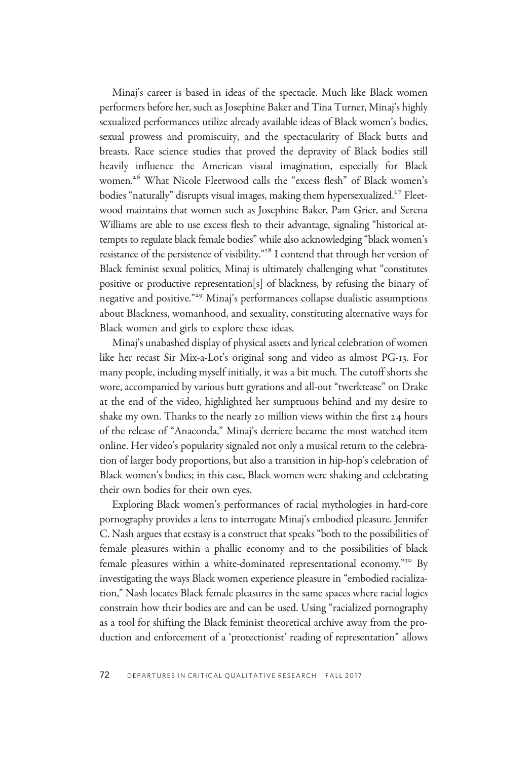Minaj's career is based in ideas of the spectacle. Much like Black women performers before her, such as Josephine Baker and Tina Turner, Minaj's highly sexualized performances utilize already available ideas of Black women's bodies, sexual prowess and promiscuity, and the spectacularity of Black butts and breasts. Race science studies that proved the depravity of Black bodies still heavily influence the American visual imagination, especially for Black women.<sup>26</sup> What Nicole Fleetwood calls the "excess flesh" of Black women's bodies "naturally" disrupts visual images, making them hypersexualized.<sup>27</sup> Fleetwood maintains that women such as Josephine Baker, Pam Grier, and Serena Williams are able to use excess flesh to their advantage, signaling "historical attempts to regulate black female bodies" while also acknowledging "black women's resistance of the persistence of visibility."<sup>28</sup> I contend that through her version of Black feminist sexual politics, Minaj is ultimately challenging what "constitutes positive or productive representation[s] of blackness, by refusing the binary of negative and positive."<sup>29</sup> Minaj's performances collapse dualistic assumptions about Blackness, womanhood, and sexuality, constituting alternative ways for Black women and girls to explore these ideas.

Minaj's unabashed display of physical assets and lyrical celebration of women like her recast Sir Mix-a-Lot's original song and video as almost PG-13. For many people, including myself initially, it was a bit much. The cutoff shorts she wore, accompanied by various butt gyrations and all-out "twerktease" on Drake at the end of the video, highlighted her sumptuous behind and my desire to shake my own. Thanks to the nearly 20 million views within the first  $24$  hours of the release of "Anaconda," Minaj's derriere became the most watched item online. Her video's popularity signaled not only a musical return to the celebration of larger body proportions, but also a transition in hip-hop's celebration of Black women's bodies; in this case, Black women were shaking and celebrating their own bodies for their own eyes.

Exploring Black women's performances of racial mythologies in hard-core pornography provides a lens to interrogate Minaj's embodied pleasure. Jennifer C. Nash argues that ecstasy is a construct that speaks "both to the possibilities of female pleasures within a phallic economy and to the possibilities of black female pleasures within a white-dominated representational economy."<sup>30</sup> By investigating the ways Black women experience pleasure in "embodied racialization," Nash locates Black female pleasures in the same spaces where racial logics constrain how their bodies are and can be used. Using "racialized pornography as a tool for shifting the Black feminist theoretical archive away from the production and enforcement of a 'protectionist' reading of representation" allows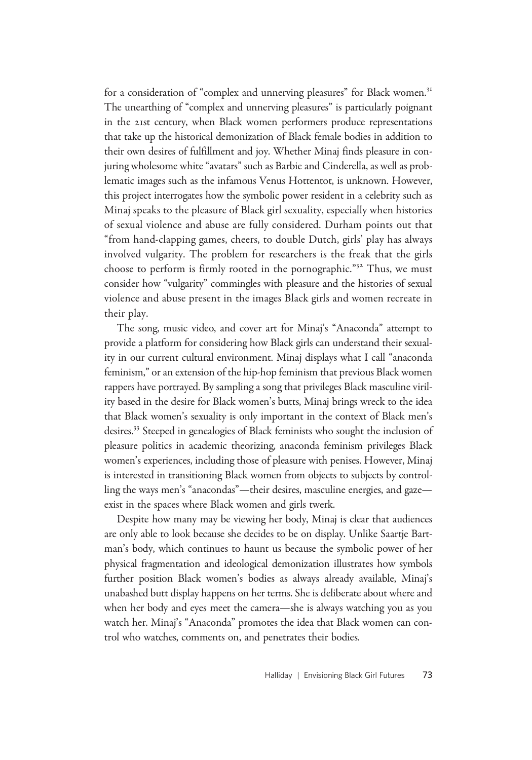for a consideration of "complex and unnerving pleasures" for Black women.<sup>31</sup> The unearthing of "complex and unnerving pleasures" is particularly poignant in the 21st century, when Black women performers produce representations that take up the historical demonization of Black female bodies in addition to their own desires of fulfillment and joy. Whether Minaj finds pleasure in conjuring wholesome white "avatars" such as Barbie and Cinderella, as well as problematic images such as the infamous Venus Hottentot, is unknown. However, this project interrogates how the symbolic power resident in a celebrity such as Minaj speaks to the pleasure of Black girl sexuality, especially when histories of sexual violence and abuse are fully considered. Durham points out that "from hand-clapping games, cheers, to double Dutch, girls' play has always involved vulgarity. The problem for researchers is the freak that the girls choose to perform is firmly rooted in the pornographic." Thus, we must consider how "vulgarity" commingles with pleasure and the histories of sexual violence and abuse present in the images Black girls and women recreate in their play.

The song, music video, and cover art for Minaj's "Anaconda" attempt to provide a platform for considering how Black girls can understand their sexuality in our current cultural environment. Minaj displays what I call "anaconda feminism," or an extension of the hip-hop feminism that previous Black women rappers have portrayed. By sampling a song that privileges Black masculine virility based in the desire for Black women's butts, Minaj brings wreck to the idea that Black women's sexuality is only important in the context of Black men's desires.<sup>33</sup> Steeped in genealogies of Black feminists who sought the inclusion of pleasure politics in academic theorizing, anaconda feminism privileges Black women's experiences, including those of pleasure with penises. However, Minaj is interested in transitioning Black women from objects to subjects by controlling the ways men's "anacondas"—their desires, masculine energies, and gaze exist in the spaces where Black women and girls twerk.

Despite how many may be viewing her body, Minaj is clear that audiences are only able to look because she decides to be on display. Unlike Saartje Bartman's body, which continues to haunt us because the symbolic power of her physical fragmentation and ideological demonization illustrates how symbols further position Black women's bodies as always already available, Minaj's unabashed butt display happens on her terms. She is deliberate about where and when her body and eyes meet the camera—she is always watching you as you watch her. Minaj's "Anaconda" promotes the idea that Black women can control who watches, comments on, and penetrates their bodies.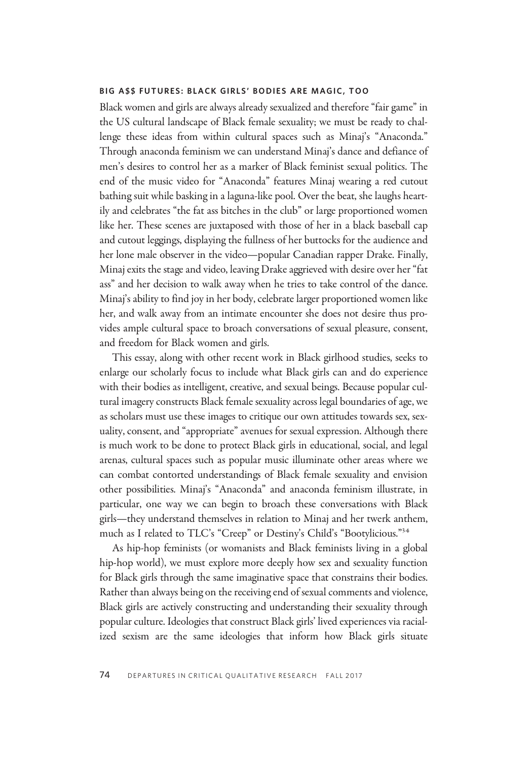### BIG A\$\$ FUTURES: BLACK GIRLS' BODIES ARE MAGIC, TOO

Black women and girls are always already sexualized and therefore"fair game" in the US cultural landscape of Black female sexuality; we must be ready to challenge these ideas from within cultural spaces such as Minaj's "Anaconda." Through anaconda feminism we can understand Minaj's dance and defiance of men's desires to control her as a marker of Black feminist sexual politics. The end of the music video for "Anaconda" features Minaj wearing a red cutout bathing suit while basking in a laguna-like pool. Over the beat, she laughs heartily and celebrates "the fat ass bitches in the club" or large proportioned women like her. These scenes are juxtaposed with those of her in a black baseball cap and cutout leggings, displaying the fullness of her buttocks for the audience and her lone male observer in the video—popular Canadian rapper Drake. Finally, Minaj exits the stage and video, leaving Drake aggrieved with desire over her "fat ass" and her decision to walk away when he tries to take control of the dance. Minaj's ability to find joy in her body, celebrate larger proportioned women like her, and walk away from an intimate encounter she does not desire thus provides ample cultural space to broach conversations of sexual pleasure, consent, and freedom for Black women and girls.

This essay, along with other recent work in Black girlhood studies, seeks to enlarge our scholarly focus to include what Black girls can and do experience with their bodies as intelligent, creative, and sexual beings. Because popular cultural imagery constructs Black female sexuality across legal boundaries of age, we as scholars must use these images to critique our own attitudes towards sex, sexuality, consent, and "appropriate" avenues for sexual expression. Although there is much work to be done to protect Black girls in educational, social, and legal arenas, cultural spaces such as popular music illuminate other areas where we can combat contorted understandings of Black female sexuality and envision other possibilities. Minaj's "Anaconda" and anaconda feminism illustrate, in particular, one way we can begin to broach these conversations with Black girls—they understand themselves in relation to Minaj and her twerk anthem, much as I related to TLC's "Creep" or Destiny's Child's "Bootylicious."<sup>34</sup>

As hip-hop feminists (or womanists and Black feminists living in a global hip-hop world), we must explore more deeply how sex and sexuality function for Black girls through the same imaginative space that constrains their bodies. Rather than always being on the receiving end of sexual comments and violence, Black girls are actively constructing and understanding their sexuality through popular culture. Ideologies that construct Black girls' lived experiences via racialized sexism are the same ideologies that inform how Black girls situate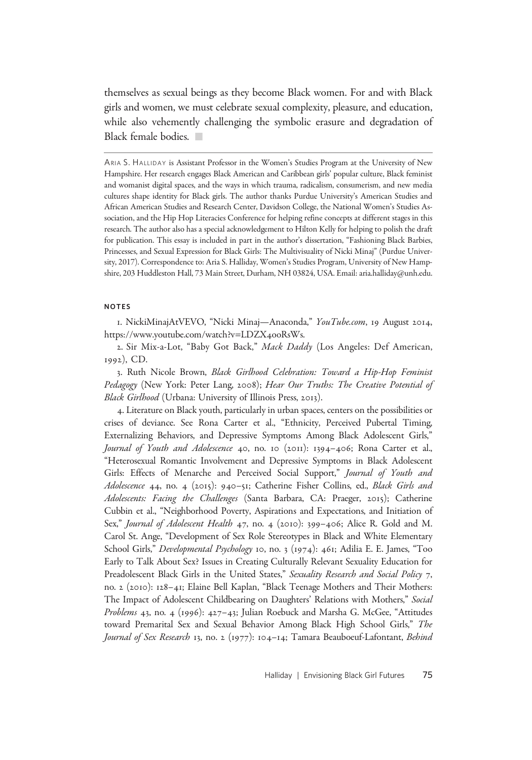themselves as sexual beings as they become Black women. For and with Black girls and women, we must celebrate sexual complexity, pleasure, and education, while also vehemently challenging the symbolic erasure and degradation of Black female bodies.

ARIA S. HALLIDAY is Assistant Professor in the Women's Studies Program at the University of New Hampshire. Her research engages Black American and Caribbean girls' popular culture, Black feminist and womanist digital spaces, and the ways in which trauma, radicalism, consumerism, and new media cultures shape identity for Black girls. The author thanks Purdue University's American Studies and African American Studies and Research Center, Davidson College, the National Women's Studies Association, and the Hip Hop Literacies Conference for helping refine concepts at different stages in this research. The author also has a special acknowledgement to Hilton Kelly for helping to polish the draft for publication. This essay is included in part in the author's dissertation, "Fashioning Black Barbies, Princesses, and Sexual Expression for Black Girls: The Multivisuality of Nicki Minaj" (Purdue University, 2017). Correspondence to: Aria S. Halliday, Women's Studies Program, University of New Hampshire, 203 Huddleston Hall, 73 Main Street, Durham, NH 03824, USA. Email: aria.halliday@unh.edu.

### **NOTES**

1. NickiMinajAtVEVO, "Nicki Minaj-Anaconda," YouTube.com, 19 August 2014, https://www.youtube.com/watch?v=LDZX400RsWs.

2. Sir Mix-a-Lot, "Baby Got Back," Mack Daddy (Los Angeles: Def American,  $1992)$ , CD.

. Ruth Nicole Brown, Black Girlhood Celebration: Toward a Hip-Hop Feminist Pedagogy (New York: Peter Lang, 2008); Hear Our Truths: The Creative Potential of Black Girlhood (Urbana: University of Illinois Press, 2013).

. Literature on Black youth, particularly in urban spaces, centers on the possibilities or crises of deviance. See Rona Carter et al., "Ethnicity, Perceived Pubertal Timing, Externalizing Behaviors, and Depressive Symptoms Among Black Adolescent Girls," Journal of Youth and Adolescence 40, no. 10 (2011): 1394–406; Rona Carter et al., "Heterosexual Romantic Involvement and Depressive Symptoms in Black Adolescent Girls: Effects of Menarche and Perceived Social Support," Journal of Youth and Adolescence 44, no. 4 (2015): 940-51; Catherine Fisher Collins, ed., Black Girls and Adolescents: Facing the Challenges (Santa Barbara, CA: Praeger, 2015); Catherine Cubbin et al., "Neighborhood Poverty, Aspirations and Expectations, and Initiation of Sex," Journal of Adolescent Health 47, no. 4 (2010): 399-406; Alice R. Gold and M. Carol St. Ange, "Development of Sex Role Stereotypes in Black and White Elementary School Girls," Developmental Psychology 10, no. 3 (1974): 461; Adilia E. E. James, "Too Early to Talk About Sex? Issues in Creating Culturally Relevant Sexuality Education for Preadolescent Black Girls in the United States," Sexuality Research and Social Policy 7, no. 2 (2010): 128-41; Elaine Bell Kaplan, "Black Teenage Mothers and Their Mothers: The Impact of Adolescent Childbearing on Daughters' Relations with Mothers," Social Problems 43, no. 4 (1996): 427-43; Julian Roebuck and Marsha G. McGee, "Attitudes toward Premarital Sex and Sexual Behavior Among Black High School Girls," The Journal of Sex Research 13, no. 2 (1977): 104-14; Tamara Beauboeuf-Lafontant, Behind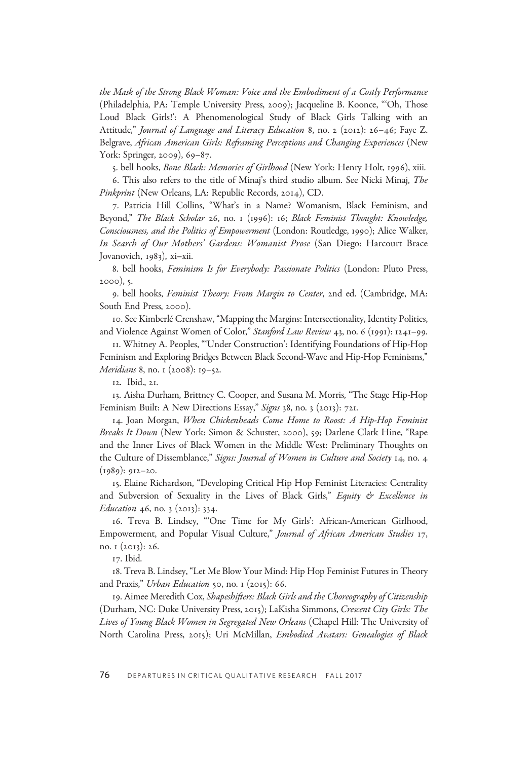the Mask of the Strong Black Woman: Voice and the Embodiment of a Costly Performance (Philadelphia, PA: Temple University Press, 2009); Jacqueline B. Koonce, "Oh, Those Loud Black Girls!': A Phenomenological Study of Black Girls Talking with an Attitude," Journal of Language and Literacy Education 8, no. 2 (2012): 26-46; Faye Z. Belgrave, African American Girls: Reframing Perceptions and Changing Experiences (New York: Springer, 2009),  $69-87$ .

5. bell hooks, Bone Black: Memories of Girlhood (New York: Henry Holt, 1996), xiii.

. This also refers to the title of Minaj's third studio album. See Nicki Minaj, The Pinkprint (New Orleans, LA: Republic Records, 2014), CD.

. Patricia Hill Collins, "What's in a Name? Womanism, Black Feminism, and Beyond," The Black Scholar 26, no. 1 (1996): 16; Black Feminist Thought: Knowledge, Consciousness, and the Politics of Empowerment (London: Routledge, 1990); Alice Walker, In Search of Our Mothers' Gardens: Womanist Prose (San Diego: Harcourt Brace Jovanovich, 1983), xi-xii.

8. bell hooks, Feminism Is for Everybody: Passionate Politics (London: Pluto Press,  $2000$ ,  $5.$ 

9. bell hooks, Feminist Theory: From Margin to Center, 2nd ed. (Cambridge, MA: South End Press, 2000).

. See Kimberlé Crenshaw, "Mapping the Margins: Intersectionality, Identity Politics, and Violence Against Women of Color," Stanford Law Review 43, no. 6 (1991): 1241–99.

. Whitney A. Peoples, "'Under Construction': Identifying Foundations of Hip-Hop Feminism and Exploring Bridges Between Black Second-Wave and Hip-Hop Feminisms," Meridians 8, no.  $1 (2008): 19 - 52.$ 

12. Ibid., 21.

. Aisha Durham, Brittney C. Cooper, and Susana M. Morris, "The Stage Hip-Hop Feminism Built: A New Directions Essay," Signs 38, no. 3 (2013): 721.

14. Joan Morgan, When Chickenheads Come Home to Roost: A Hip-Hop Feminist Breaks It Down (New York: Simon & Schuster, 2000), 59; Darlene Clark Hine, "Rape and the Inner Lives of Black Women in the Middle West: Preliminary Thoughts on the Culture of Dissemblance," Signs: Journal of Women in Culture and Society 14, no. 4  $(1989): 912 - 20.$ 

. Elaine Richardson, "Developing Critical Hip Hop Feminist Literacies: Centrality and Subversion of Sexuality in the Lives of Black Girls," Equity & Excellence in Education 46, no.  $3$  (2013): 334.

. Treva B. Lindsey, "'One Time for My Girls': African-American Girlhood, Empowerment, and Popular Visual Culture," Journal of African American Studies 17, no. *1* (2013): 26.

17. Ibid.

. Treva B. Lindsey, "Let Me Blow Your Mind: Hip Hop Feminist Futures in Theory and Praxis," Urban Education 50, no.  $I$  (2015): 66.

19. Aimee Meredith Cox, Shapeshifters: Black Girls and the Choreography of Citizenship (Durham, NC: Duke University Press, 2015); LaKisha Simmons, Crescent City Girls: The Lives of Young Black Women in Segregated New Orleans (Chapel Hill: The University of North Carolina Press, 2015); Uri McMillan, Embodied Avatars: Genealogies of Black